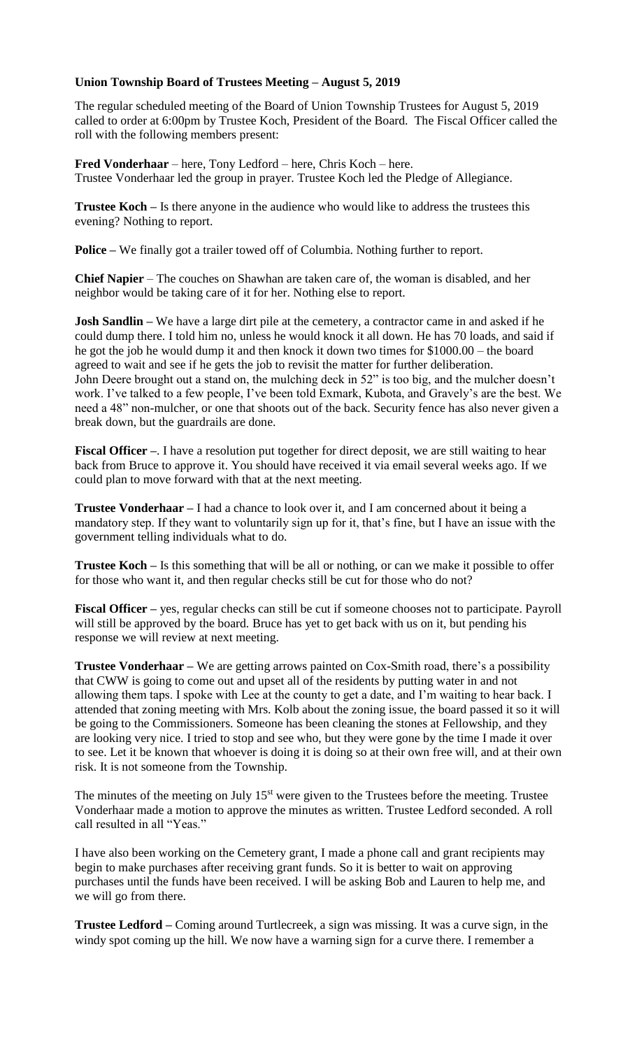## **Union Township Board of Trustees Meeting – August 5, 2019**

The regular scheduled meeting of the Board of Union Township Trustees for August 5, 2019 called to order at 6:00pm by Trustee Koch, President of the Board. The Fiscal Officer called the roll with the following members present:

**Fred Vonderhaar** – here, Tony Ledford – here, Chris Koch – here. Trustee Vonderhaar led the group in prayer. Trustee Koch led the Pledge of Allegiance.

**Trustee Koch –** Is there anyone in the audience who would like to address the trustees this evening? Nothing to report.

**Police –** We finally got a trailer towed off of Columbia. Nothing further to report.

**Chief Napier** – The couches on Shawhan are taken care of, the woman is disabled, and her neighbor would be taking care of it for her. Nothing else to report.

**Josh Sandlin –** We have a large dirt pile at the cemetery, a contractor came in and asked if he could dump there. I told him no, unless he would knock it all down. He has 70 loads, and said if he got the job he would dump it and then knock it down two times for \$1000.00 – the board agreed to wait and see if he gets the job to revisit the matter for further deliberation. John Deere brought out a stand on, the mulching deck in 52" is too big, and the mulcher doesn't work. I've talked to a few people, I've been told Exmark, Kubota, and Gravely's are the best. We need a 48" non-mulcher, or one that shoots out of the back. Security fence has also never given a break down, but the guardrails are done.

**Fiscal Officer** –. I have a resolution put together for direct deposit, we are still waiting to hear back from Bruce to approve it. You should have received it via email several weeks ago. If we could plan to move forward with that at the next meeting.

**Trustee Vonderhaar –** I had a chance to look over it, and I am concerned about it being a mandatory step. If they want to voluntarily sign up for it, that's fine, but I have an issue with the government telling individuals what to do.

**Trustee Koch –** Is this something that will be all or nothing, or can we make it possible to offer for those who want it, and then regular checks still be cut for those who do not?

**Fiscal Officer –** yes, regular checks can still be cut if someone chooses not to participate. Payroll will still be approved by the board. Bruce has yet to get back with us on it, but pending his response we will review at next meeting.

**Trustee Vonderhaar –** We are getting arrows painted on Cox-Smith road, there's a possibility that CWW is going to come out and upset all of the residents by putting water in and not allowing them taps. I spoke with Lee at the county to get a date, and I'm waiting to hear back. I attended that zoning meeting with Mrs. Kolb about the zoning issue, the board passed it so it will be going to the Commissioners. Someone has been cleaning the stones at Fellowship, and they are looking very nice. I tried to stop and see who, but they were gone by the time I made it over to see. Let it be known that whoever is doing it is doing so at their own free will, and at their own risk. It is not someone from the Township.

The minutes of the meeting on July  $15<sup>st</sup>$  were given to the Trustees before the meeting. Trustee Vonderhaar made a motion to approve the minutes as written. Trustee Ledford seconded. A roll call resulted in all "Yeas."

I have also been working on the Cemetery grant, I made a phone call and grant recipients may begin to make purchases after receiving grant funds. So it is better to wait on approving purchases until the funds have been received. I will be asking Bob and Lauren to help me, and we will go from there.

**Trustee Ledford –** Coming around Turtlecreek, a sign was missing. It was a curve sign, in the windy spot coming up the hill. We now have a warning sign for a curve there. I remember a